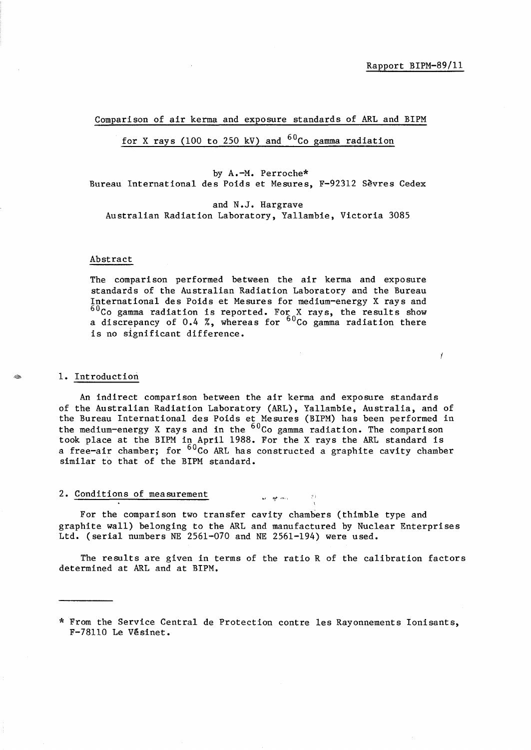Í

Comparison of air kerma and exposure standards of ARL and BIPM

for X rays (100 to 250 kV) and  $60C<sub>0</sub>$  gamma radiation

by A.-M. Perroche\* Bureau International des Poids et Mesures, F-92312 Sevres Cedex

and N.J. Hargrave Australian Radiation Laboratory, Ya1lambie, Victoria 3085

#### Abstract

The comparison performed between the air kerma and exposure standards of the Australian Radiation Laboratory and the Bureau International des Poids et Mesures for medium-energy X rays and  $^{60}$ Co gamma radiation is reported. For X rays, the results show a discrepancy of 0.4 %, whereas for  $^{60}$ Co gamma radiation there is no significant difference.

#### 1. Introduction

An indirect comparison between the air kerma and exposure standards of the Australian Radiation Laboratory (ARL), Yallambie, Australia, and of the Bureau International des Poids et Mesures (BIPM) has been performed in the medium-energy X rays and in the <sup>60</sup>Co gamma radiation. The comparison took place at the BIPM in April 1988. For the X rays the ARL standard is a free-air chamber; for  $60^{\circ}$ Co ARL has constructed a graphite cavity chamber similar to that of the BIPM standard.

## 2. Conditions of measurement  $\mathcal{L}_{\mathcal{N}}$

For the comparison two transfer cavity chambers (thimble type and graphite wall) belonging to the ARL and manufactured by Nuclear Enterprises Ltd. (serial numbers NE 2561-070 and NE 2561-194) were used.

The results are given in terms of the ratio R of the calibration factors determined at ARL and at BIPM.

<sup>\*</sup> From the Service Central de Protection contre les Rayonnements Ionisants, F-78110 Le Vesinet.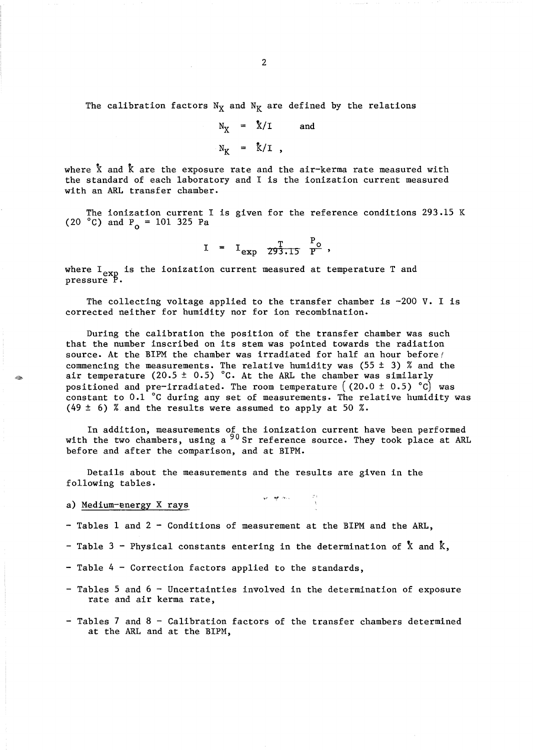The calibration factors  $N_X$  and  $N_K$  are defined by the relations

$$
N_X = \sqrt[k]{I} \quad \text{and}
$$

$$
N_K = \sqrt[k]{I},
$$

where  $\bar{X}$  and  $\bar{K}$  are the exposure rate and the air-kerma rate measured with the standard of each laboratory and I is the ionization current measured with an ARL transfer chamber.

The ionization current I is given for the reference conditions 293.15 K (20 °C) and  $P_0 = 101$  325 Pa

$$
I = I_{exp} \frac{T}{293.15} \frac{P_o}{P}
$$

where  $I_{\text{exp}}$  is the ionization current measured at temperature T and pressure P.

The collecting voltage applied to the transfer chamber is  $-200$  V. I is corrected neither for humidity nor for ion recombination.

During the calibration the position of the transfer chamber was such that the number inscribed on its stem was pointed towards the radiation source. At the BIPM the chamber was irradiated for half an hour before commencing the measurements. The relative humidity was (55  $\pm$  3) % and the air temperature  $(20.5 \pm 0.5)$  °C. At the ARL the chamber was similarly positioned and pre-irradiated. The room temperature  $(20.0 \pm 0.5)$  °C was constant to 0.1 °c during any set of measurements. The relative humidity was (49  $\pm$  6) % and the results were assumed to apply at 50 %.

In addition, measurements of the ionization current have been performed with the two chambers, using a  $90$  Sr reference source. They took place at ARL before and after the comparison, and at BIPM.

 $\mathbf{w} = \mathbf{w}^{\text{max}}$  , where  $\mathbf{w} = \frac{2\pi}{\sqrt{2}}$ 

Details about the measurements and the results are given in the following tables.

a) Medium-energy X rays

- Tables 1 and 2 - Conditions of measurement at the BIPM and the ARL,

- Table 3 Physical constants entering in the determination of  $\bar{X}$  and  $\bar{K}$ ,
- Table 4 Correction factors applied to the standards,
- Tables 5 and 6 Uncertainties involved in the determination of exposure rate and air kerma rate,
- Tables 7 and 8 Calibration factors of the transfer chambers determined at the ARL and at the BIPM,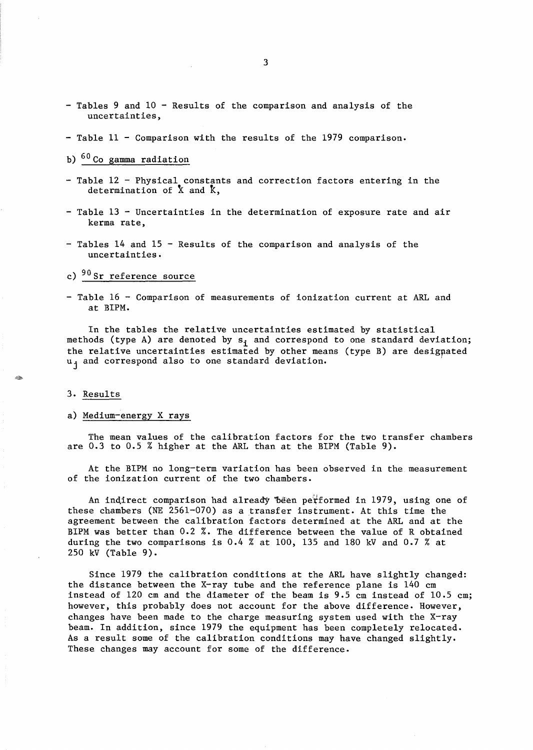- Tables 9 and 10 Results of the comparison and analysis of the uncertainties,
- Table 11 Comparison with the results of the 1979 comparison.
- b) <sup>60</sup> Co gamma radiation
- Table 12 Physical constants and correction factors entering in the determination of  $\bar{x}$  and  $\bar{k}$ ,
- $-$  Table 13 Uncertainties in the determination of exposure rate and air kerma rate,
- $-$  Tables 14 and 15 Results of the comparison and analysis of the uncertainties.

## c)  $90$  Sr reference source

- Table 16 - Comparison of measurements of ionization current at ARL and at BIPM.

In the tables the relative uncertainties estimated by statistical methods (type A) are denoted by  $s_i$  and correspond to one standard deviation; the relative uncertainties estimated by other means (type B) are desigpated u<sub>j</sub> and correspond also to one standard deviation.

#### 3. Results

#### a) Medium-energy X rays

The mean values of the calibration factors for the two transfer chambers are 0.3 to 0.5 % higher at the ARL than at the BIPM (Table 9).

At the BIPM no long-term variation has been observed in the measurement of the ionization current of the two chambers.

An indirect comparison had already "been performed in 1979, using one of these chambers (NE 2561-070) as a transfer instrument. At this time the agreement between the calibration factors determined at the ARL and at the BIPM was better than 0.2 %. The difference between the value of R obtained during the two comparisons is 0.4 % at 100, 135 and 180 kV and 0.7 % at 250 kV (Table 9).

Since 1979 the calibration conditions at the ARL have slightly changed: the distance between the X-ray tube and the reference plane is 140 cm instead of 120 cm and the diameter of the beam is 9.5 cm instead of 10.5 cm; however, this probably does not account for the above difference. However, changes have been made to the charge measuring system used with the X-ray beam. In addition, since 1979 the equipment has been completely relocated. As a result some of the calibration conditions may have changed slightly. These changes may account for some of the difference.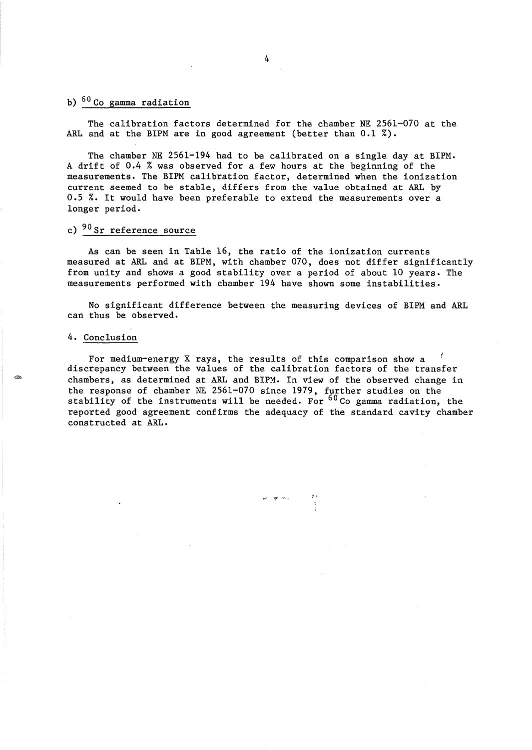## b)  $60$  Co gamma radiation

The calibration factors determined for the chamber NE 2561-070 at the ARL and at the BIPM are in good agreement (better than  $0.1\%$ ).

The chamber NE 2561-194 had to be calibrated on a single day at BIPM. A drift of 0.4 % was observed for a few hours at the beginning of the measurements. The BIPM calibration factor, determined when the ionization current seemed to be stable, differs from the value obtained at ARL by 0.5 %. It would have been preferable to extend the measurements over a longer period.

## c) <sup>90</sup> Sr reference source

As can be seen in Table 16, the ratio of the ionization currents measured at ARL and at BIPM, with chamber 070, does not differ significantly from unity and shows a good stability over a period of about 10 years. The measurements performed with chamber 194 have shown some instabilities.

No significant difference between the measuring devices of BIPM and ARL can thus be observed.

#### 4. Conclusion

For medium-energy X rays, the results of this comparison show a discrepancy between the values of the calibration factors of the transfer chambers, as determined at ARL and BIPM. In view of the observed change in the response of chamber NE 2561-070 since 1979, further studies on the stability of the instruments will be needed. For  $60 \text{ Co}$  gamma radiation, the reported good agreement confirms the adequacy of the standard cavity chamber constructed at ARL.

an and they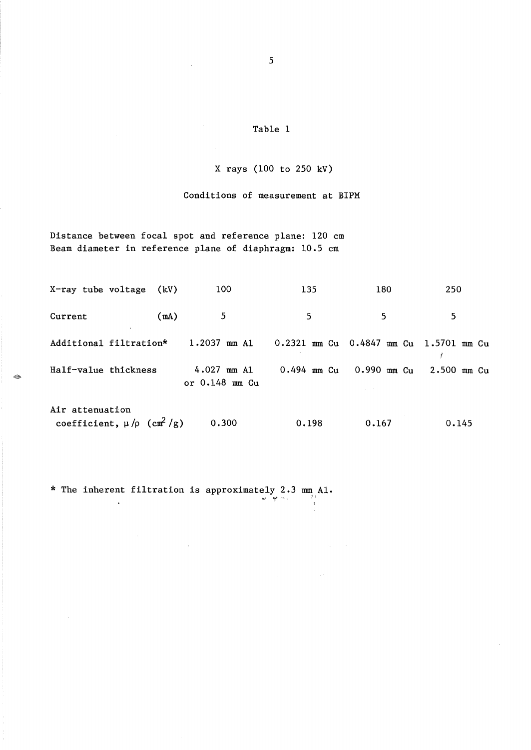### X rays (100 to 250 kV)

Conditions of measurement at BIPM

Distance between focal spot and reference plane: 120 cm Beam diameter in reference plane of diaphragm: 10.5 cm

 $\bar{z}$ 

|                        | X-ray tube voltage (kV)                          | 100                                 | 135             | 180                                    | 250         |
|------------------------|--------------------------------------------------|-------------------------------------|-----------------|----------------------------------------|-------------|
| Current                | (mA)                                             | 5                                   | 5.              | 5                                      | 5           |
| Additional filtration* |                                                  | $1.2037$ mm Al                      |                 | 0.2321 mm Cu 0.4847 mm Cu 1.5701 mm Cu |             |
| Half-value thickness   |                                                  | $4.027$ mm A1<br>or $0.148$ mm $Cu$ | $0.494$ mm $Cu$ | $0.990$ mm $Cu$                        | 2.500 mm Cu |
| Air attenuation        | coefficient, $\mu$ / $\rho$ (cm <sup>2</sup> /g) | 0.300                               | 0.198           | 0.167                                  | 0.145       |

 $\sim$ 

 $\sim$ 

\* The inherent filtration is approximately 2.3 mm<sub>p</sub> Al.

 $\bar{t}$ 

 $\hat{\mathcal{A}}$ 

-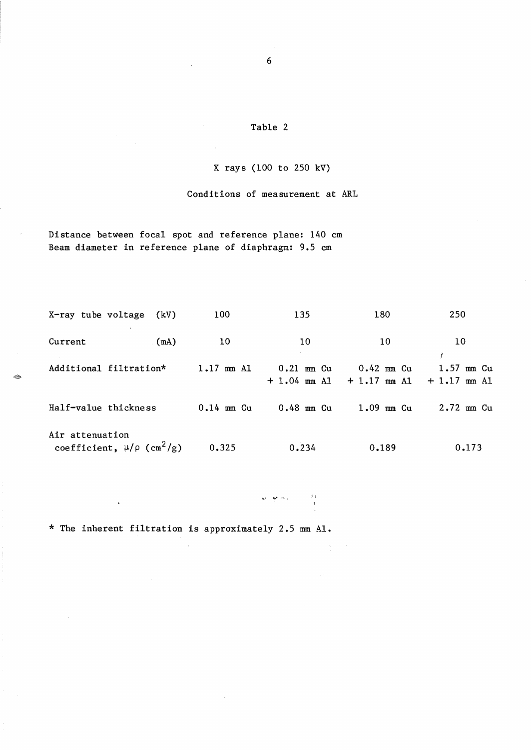#### X rays (100 to 250 kV)

Conditions of measurement at ARL

Distance between focal spot and reference plane: 140 cm Beam diameter in reference plane of diaphragm: 9.5 cm

 $X$ -ray tube voltage  $(kV)$  100 135 Current (mA) 10 10 Additional filtration\* 1.17 mm Al 0.21 mm Cu + 1.04 mm Al Half-value thickness 0.14 mm Cu 0.48 mm Cu Air attenuation coefficient,  $\mu/\rho$  (cm<sup>2</sup>/g) 0.325 0.234  $+ 1.17$  mm Al 180 250 10 10 *t*  0.42 mm Cu 1.57 mm Cu  $+ 1.17$  mm Al 1.09 mm Cu 2.72 mm Cu 0.189 0.173

-'" **"!,,,** ,-,.;

\* The inherent filtration is approximately 2.5 mm Al.

 $\cdot$ 

~

6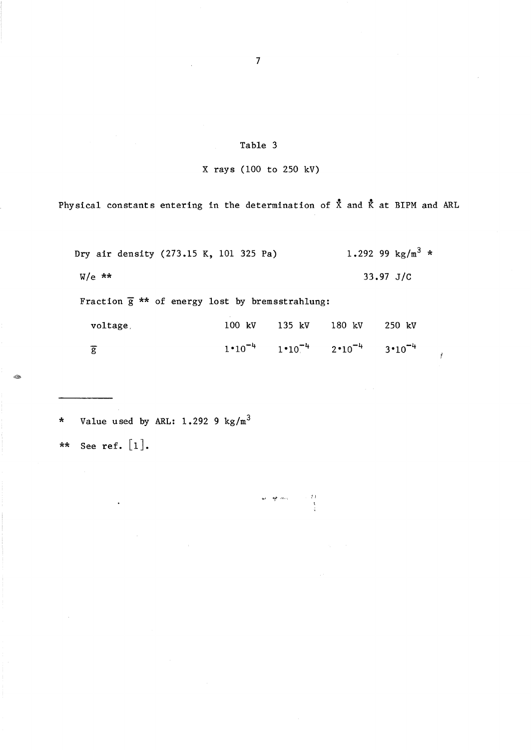## X rays (100 to 250 kV)

Physical constants entering in the determination of  $\bar{x}$  and  $\bar{k}$  at BIPM and ARL

| Dry air density (273.15 K, 101 325 Pa)                  |        |                                                       |        | 1.292 99 $\text{kg/m}^3$ * |
|---------------------------------------------------------|--------|-------------------------------------------------------|--------|----------------------------|
| $W/e$ **                                                |        |                                                       |        | $33.97 \text{ J/C}$        |
| Fraction $\bar{g}$ ** of energy lost by bremsstrahlung: |        |                                                       |        |                            |
| voltage                                                 | 100 kV | 135 kV                                                | 180 kV | 250 kV                     |
| $\overline{\mathsf{g}}$                                 |        | $1 \cdot 10^{-4}$ $1 \cdot 10^{-4}$ $2 \cdot 10^{-4}$ |        | $3 \cdot 10^{-4}$          |

 $\begin{array}{cc} & 2.3 \\ & 3.3 \\ & 3.5 \\ & 4.5 \\ \end{array}$ 

 $\mathbf{w}^{\mathbf{y}}=\frac{\mathbf{w}\mathbf{y}}{2}e^{-\frac{\mathbf{w}\mathbf{y}}{2}}e^{-\frac{\mathbf{w}\mathbf{y}}{2}}$ 

ľ

\* Value used by ARL: 1.292 9 *kg/m<sup>3</sup>*

\*\* See ref.  $[1]$ .

7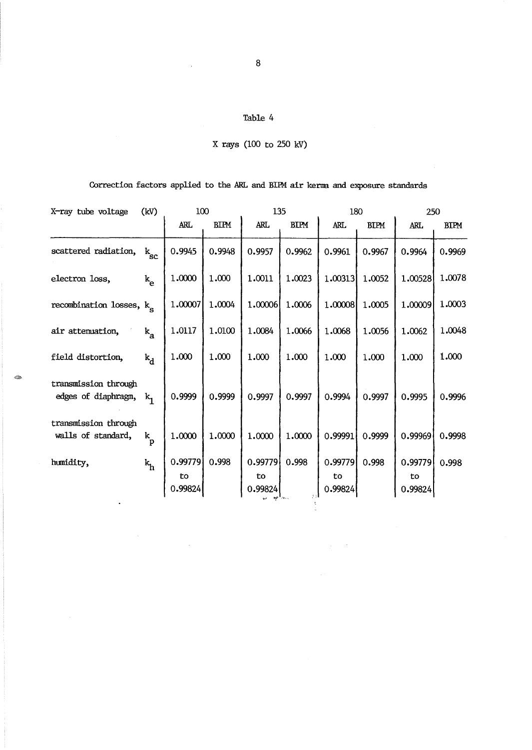|  | X rays (100 to 250 kV) |  |  |  |  |
|--|------------------------|--|--|--|--|
|--|------------------------|--|--|--|--|

# Correction factors applied to the ARL and BIPM air kerma and exposure standards

| X-ray tube voltage                          | (kV)                 | 100           |             | 135           |             | 180           |             | 250           |             |  |
|---------------------------------------------|----------------------|---------------|-------------|---------------|-------------|---------------|-------------|---------------|-------------|--|
|                                             |                      | <b>ARL</b>    | <b>BIPM</b> | <b>ARL</b>    | <b>BIPM</b> | <b>ARL</b>    | <b>BIPM</b> | ARL           | <b>BIPM</b> |  |
| scattered radiation,                        | $\rm k_{\rm sc}$     | 0.9945        | 0.9948      | 0.9957        | 0.9962      | 0.9961        | 0.9967      | 0.9964        | 0.9969      |  |
| electron loss,                              | $k_{e}$              | 1.0000        | 1.000       | 1.0011        | 1.0023      | 1.00313       | 1.0052      | 1.00528       | 1.0078      |  |
| recombination losses, k <sub>c</sub>        |                      | 1.00007       | 1.0004      | 1.00006       | 1.0006      | 1.00008       | 1.0005      | 1.00009       | 1.0003      |  |
| air attenuation,                            | $k_{\rm a}$          | 1.0117        | 1.0100      | 1.0084        | 1.0066      | 1.0068        | 1.0056      | 1.0062        | 1.0048      |  |
| field distortion,                           | $k_A$                | 1.000         | 1.000       | 1.000         | 1.000       | 1.000         | 1.000       | 1.000         | 1.000       |  |
| transmission through<br>edges of diaphragm, | $k_{1}$              | 0.9999        | 0.9999      | 0.9997        | 0.9997      | 0.9994        | 0.9997      | 0.9995        | 0.9996      |  |
| transmission through<br>walls of standard,  | $\mathbf{k}_{\rm p}$ | 1.0000        | 1.0000      | 1.0000        | 1.0000      | 0.99991       | 0.9999      | 0.99969       | 0.9998      |  |
| humidity,                                   | $k_h$                | 0.99779       | 0.998       | 0.99779       | 0.998       | 0.99779       | 0.998       | 0.99779       | 0.998       |  |
|                                             |                      | to<br>0.99824 |             | to<br>0.99824 |             | to<br>0.99824 |             | to<br>0.99824 |             |  |
|                                             |                      |               |             |               |             |               |             |               |             |  |

 $\sim$ 

 $\hat{\mathcal{L}}$ 

 $\mathcal{A}^{\mathcal{A}}$ 

 $\hat{\mathcal{A}}$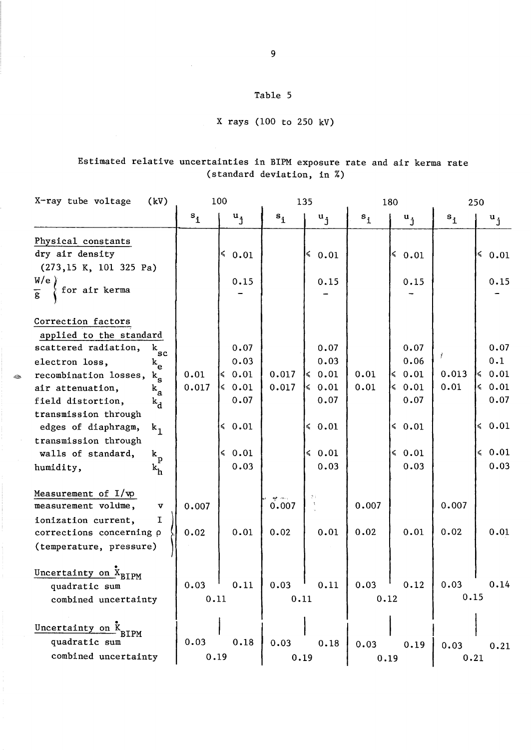# X rays (100 to 250 kV)

# Estimated relative uncertainties in BIPM exposure rate and air kerma rate (standard deviation, in %)

| X-ray tube voltage<br>(kV)                                                                                                                                                                                                                                                                                                                                                                                                 | 100              |                                                                                                         | 135            |                                                                                                    | 180           |                                                                                        | 250           |                                                                                                        |
|----------------------------------------------------------------------------------------------------------------------------------------------------------------------------------------------------------------------------------------------------------------------------------------------------------------------------------------------------------------------------------------------------------------------------|------------------|---------------------------------------------------------------------------------------------------------|----------------|----------------------------------------------------------------------------------------------------|---------------|----------------------------------------------------------------------------------------|---------------|--------------------------------------------------------------------------------------------------------|
|                                                                                                                                                                                                                                                                                                                                                                                                                            | $s_{\mathbf{i}}$ | $\mathbf{u}_{\mathbf{j}}$                                                                               | $s_{1}$        | $\mathbf{u}_{\cdot j}$                                                                             | $s_{1}$       | $u_{j}$                                                                                | $s_{1}$       | $\mathbf{u}_{\cdot j}$                                                                                 |
| Physical constants<br>dry air density<br>(273, 15 K, 101 325 Pa)<br>W/e<br>for air kerma<br>$\overline{g}$                                                                                                                                                                                                                                                                                                                 |                  | $\leq 0.01$<br>0.15                                                                                     |                | $\leq 0.01$<br>0.15                                                                                |               | $\leq 0.01$<br>0.15                                                                    |               | $\leq 0.01$<br>0.15                                                                                    |
| Correction factors<br>applied to the standard<br>scattered radiation,<br>k<br>$\mathbf{sc}$<br>electron loss,<br>$\mathbf{k}_{\mathrm{e}}$<br>recombination losses,<br>$\rm{k}_c$<br>air attenuation,<br>$\mathbf{k}_{\mathbf{a}}$<br>field distortion,<br>$k_{\rm d}$<br>transmission through<br>edges of diaphragm,<br>$k_1$<br>transmission through<br>walls of standard,<br>$\mathbf{k}_{\rm p}$<br>humidity,<br>$k_h$ | 0.01<br>0.017    | 0.07<br>0.03<br>$\leqslant 0.01$<br>$\leqslant 0.01$<br>0.07<br>$\leq 0.01$<br>$\leqslant 0.01$<br>0.03 | 0.017<br>0.017 | 0.07<br>0.03<br>$\leqslant 0.01$<br>$\leq 0.01$<br>0.07<br>$\leqslant 0.01$<br>$\leq 0.01$<br>0.03 | 0.01<br>0.01  | 0.07<br>0.06<br>$\le 0.01$<br>$\leq 0.01$<br>0.07<br>$\leq 0.01$<br>$\le 0.01$<br>0.03 | 0.013<br>0.01 | 0.07<br>0.1<br>$\leq 0.01$<br>$\leqslant$ 0.01<br>0.07<br>$\leqslant$ 0.01<br>$\leqslant 0.01$<br>0.03 |
| Measurement of $I/\psi$<br>measurement volume,<br>$\boldsymbol{\mathrm{v}}$<br>ionization current,<br>I.<br>corrections concerning p<br>(temperature, pressure)                                                                                                                                                                                                                                                            | 0.007<br>0.02    | 0.01                                                                                                    | 0.007<br>0.02  | $2\%$<br>0.01                                                                                      | 0.007<br>0.02 | 0.01                                                                                   | 0.007<br>0.02 | 0.01                                                                                                   |
| Uncertainty on X <sub>BIPM</sub><br>quadratic sum<br>combined uncertainty                                                                                                                                                                                                                                                                                                                                                  | 0.03<br>0.11     | 0.11                                                                                                    | 0.03<br>0.11   | 0.11                                                                                               | 0.03<br>0.12  | 0.12                                                                                   | 0.03<br>0.15  | 0.14                                                                                                   |
| Uncertainty on K<br>3IPM<br>quadratic sum<br>combined uncertainty                                                                                                                                                                                                                                                                                                                                                          | 0.03<br>0.19     | 0.18                                                                                                    | 0.03<br>0.19   | 0.18                                                                                               | 0.03<br>0.19  | 0.19                                                                                   | 0.03<br>0.21  | 0.21                                                                                                   |

 $\textcolor{red}{\bigotimes}\hspace{-0.2cm}\mathbb{Z}$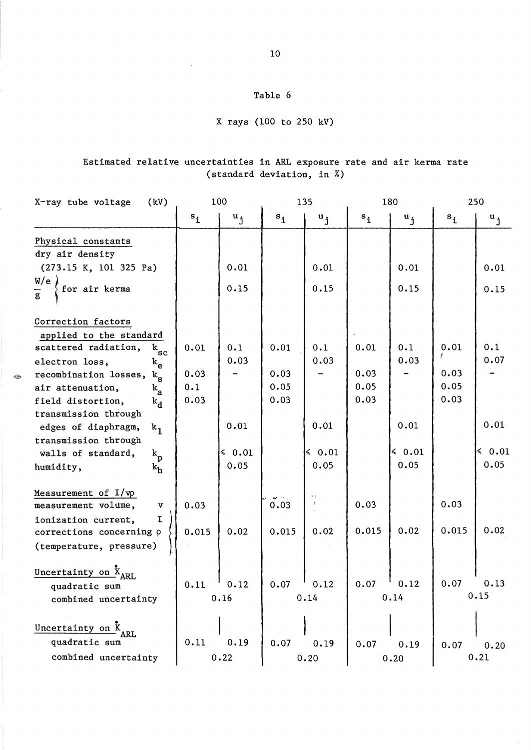# X rays (100 to 250 kV)

## Estimated relative uncertainties in ARL exposure rate and air kerma rate (standard deviation, in %)

|                         | X-ray tube voltage<br>(kV)                                                                                                                                                                                                                                                                                            |                             | 100                    |                              | 135                           |                              | 180                    |                                    | 250                      |
|-------------------------|-----------------------------------------------------------------------------------------------------------------------------------------------------------------------------------------------------------------------------------------------------------------------------------------------------------------------|-----------------------------|------------------------|------------------------------|-------------------------------|------------------------------|------------------------|------------------------------------|--------------------------|
|                         |                                                                                                                                                                                                                                                                                                                       | $s_{\mathbf{i}}$            | $\mathbf{u}_{\cdot j}$ | $s_1$                        | $\mathbf{u}_{\cdot j}$        | $s_{1}$                      | $\mathbf{u}_{\cdot j}$ | $s_i$                              | $\mathbf{u}_{\cdot j}$   |
|                         | Physical constants<br>dry air density                                                                                                                                                                                                                                                                                 |                             |                        |                              |                               |                              |                        |                                    |                          |
|                         | (273.15 K, 101 325 Pa)                                                                                                                                                                                                                                                                                                |                             | 0.01                   |                              | 0.01                          |                              | 0.01                   |                                    | 0.01                     |
| $\overline{\mathbf{g}}$ | W/e<br>for air kerma                                                                                                                                                                                                                                                                                                  |                             | 0.15                   |                              | 0.15                          |                              | 0.15                   |                                    | 0.15                     |
| D.                      | Correction factors<br>applied to the standard<br>scattered radiation,<br>$k_{\rm sc}$<br>electron loss,<br>$k_{\rm e}$<br>recombination losses,<br>$k_{\rm g}$<br>air attenuation,<br>$k_{\bf a}$<br>field distortion,<br>$k_{\rm d}$<br>transmission through<br>edges of diaphragm,<br>$k_1$<br>transmission through | 0.01<br>0.03<br>0.1<br>0.03 | 0.1<br>0.03<br>0.01    | 0.01<br>0.03<br>0.05<br>0.03 | 0.1<br>0.03<br>0.01           | 0.01<br>0.03<br>0.05<br>0.03 | 0.1<br>0.03<br>0.01    | 0.01<br>ř.<br>0.03<br>0.05<br>0.03 | 0.1<br>0.07<br>0.01      |
|                         | walls of standard,<br>$\mathbf{k}_\mathbf{p}$<br>humidity,<br>$k_h$                                                                                                                                                                                                                                                   |                             | $\leq 0.01$<br>0.05    |                              | $\leq 0.01$<br>0.05           |                              | $\leq 0.01$<br>0.05    |                                    | $\leqslant 0.01$<br>0.05 |
|                         | Measurement of $I/w$<br>measurement volume,<br>$\boldsymbol{\mathrm{v}}$<br>ionization current,<br>I.<br>corrections concerning p<br>(temperature, pressure)                                                                                                                                                          | 0.03<br>0.015               | 0.02                   | 0.03<br>0.015                | y y<br>$\tilde{\chi}$<br>0.02 | 0.03<br>0.015                | 0.02                   | 0.03<br>0.015                      | 0.02                     |
|                         | Uncertainty on X <sub>ARL</sub><br>quadratic sum<br>combined uncertainty                                                                                                                                                                                                                                              | 0.11                        | 0.12<br>0.16           | 0.07                         | 0.12<br>0.14                  | 0.07                         | 0.12<br>0.14           | 0.07                               | 0.13<br>0.15             |
|                         | Uncertainty on K<br>ARL<br>quadratic sum<br>combined uncertainty                                                                                                                                                                                                                                                      | 0.11                        | 0.19<br>0.22           | 0.07                         | 0.19<br>0.20                  | 0.07                         | 0.19<br>0.20           | 0.07                               | 0.20<br>0.21             |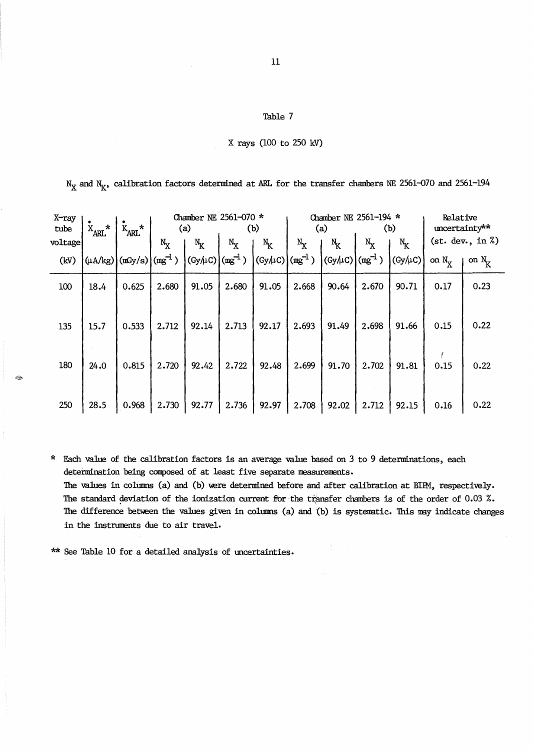|  | X rays (100 to 250 kV) |  |  |  |  |
|--|------------------------|--|--|--|--|
|--|------------------------|--|--|--|--|

 $N_X$  and  $N_K$ , calibration factors determined at ARL for the transfer chambers NE 2561-070 and 2561-194

| X-ray<br>tube | $\star$<br>$X_{\text{ARL}}$ | $\star$<br>$K_{\text{ARL}}$        | (a)   |                  | Chamber NE 2561-070 *<br>(b) |         | Chamber NE 2561-194 *<br>(a) |           | (b)         |         | Relative<br>uncertainty** |                     |
|---------------|-----------------------------|------------------------------------|-------|------------------|------------------------------|---------|------------------------------|-----------|-------------|---------|---------------------------|---------------------|
| voltage       |                             |                                    | $N_X$ | $N_{K}$          | $N_X$                        | $N_{K}$ | $N_X$                        | $\rm N_K$ | $N_X$       | $N_{K}$ |                           | (st. dev., in $\%)$ |
| (kV)          |                             | $(\mu A/kg)$ $(mGy/s)$ $(mg^{-1})$ |       | $ (Gy/\!\mu C) $ | $(mg^{-1})$                  | (GyAC)  | $\rm (mg^{-1})$              | (Gy/LC)   | $(mg^{-1})$ | (Gy/LC) | on $N_{\rm v}$            | on $N_{\rm z}$      |
| 100           | 18.4                        | 0.625                              | 2.680 | 91.05            | 2.680                        | 91.05   | 2.668                        | 90.64     | 2.670       | 90.71   | 0.17                      | 0.23                |
| 135           | 15.7                        | 0.533                              | 2.712 | 92.14            | 2.713                        | 92.17   | 2.693                        | 91.49     | 2.698       | 91.66   | 0.15                      | 0.22                |
| 180           | 24.0                        | 0.815                              | 2.720 | 92.42            | 2.722                        | 92.48   | 2.699                        | 91.70     | 2.702       | 91.81   | 0.15                      | 0.22                |
| 250           | 28.5                        | 0.968                              | 2.730 | 92.77            | 2.736                        | 92.97   | 2.708                        | 92.02     | 2.712       | 92.15   | 0.16                      | 0.22                |

\* Each value of the calibration factors is an average value based on 3 to 9 determinations, each determination being composed of at least five separate measurements.

The values in columns (a) and (b) were determined before and after calibration at BIPM, respectively. The standard deviation of the ionization current for the transfer chambers is of the order of  $0.03$  %. The difference between the values given in columns (a) and (b) is systematic. This may indicate changes in the instruments due to air travel.

\*\* See Table 10 for a detailed analysis of uncertainties.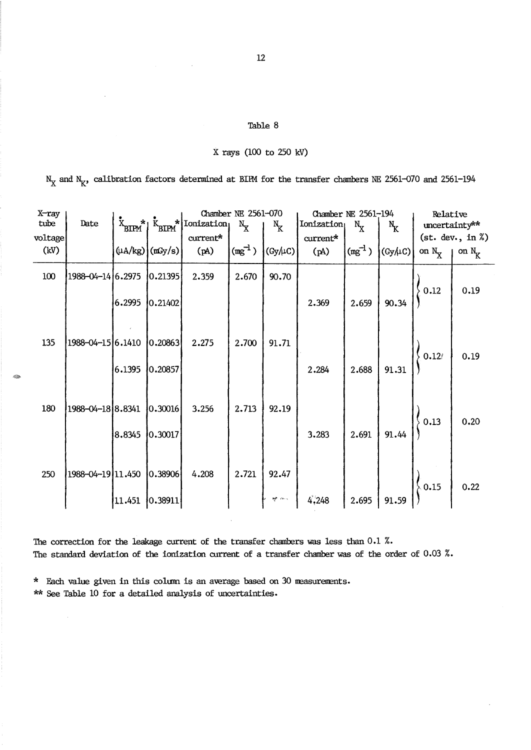#### X rays (100 to 250 kV)

 $N_X$  and  $N_K$ , calibration factors determined at BIPM for the transfer chambers NE 2561-070 and 2561-194

| X-ray<br>tube<br>voltage | Date              |        |                      | $\mathbf{K}_{\text{BIPM}}$ <sup>*</sup> $\mathbf{K}_{\text{BIPM}}$ <sup>*</sup> $\left  \text{Ionization} \right $<br>$\text{current*}$ | Chamber NE 2561-070<br>$N_{\rm X}$ | $N_{K}$         | Ionization<br>current* | Chamber NE 2561-194<br>$N_{\rm X}$ | $N_{K}$                       | Relative            | uncertainty**<br>$(st. dev., in \%)$ |
|--------------------------|-------------------|--------|----------------------|-----------------------------------------------------------------------------------------------------------------------------------------|------------------------------------|-----------------|------------------------|------------------------------------|-------------------------------|---------------------|--------------------------------------|
| (kV)                     |                   |        | $(\mu A/kg)$ (mGy/s) | (A)                                                                                                                                     | $\left(\text{mg}^{-1}\right)$      | $(Gy/\mu C)$    | (Aq)                   | $\left(\text{mg}^{-1}\right)$      | $\vert$ (Gy/ $\mu$ C) $\vert$ | on $N_X$   on $N_K$ |                                      |
| 100                      | 1988-04-14 6.2975 |        | 0.21395              | 2.359                                                                                                                                   | 2.670                              | 90.70           |                        |                                    |                               |                     |                                      |
|                          |                   | 6.2995 | 0.21402              |                                                                                                                                         |                                    |                 | 2.369                  | 2.659                              | 90.34                         | 0.12                | 0.19                                 |
| 135                      | 1988-04-15 6.1410 |        | 0.20863              | 2.275                                                                                                                                   | 2.700                              | 91.71           |                        |                                    |                               | 0.12/               | 0.19                                 |
|                          |                   | 6.1395 | 0.20857              |                                                                                                                                         |                                    |                 | 2.284                  | 2.688                              | 91.31                         |                     |                                      |
| 180                      | 1988–04–18 8.8341 |        | 0.30016              | 3.256                                                                                                                                   | 2.713                              | 92.19           |                        |                                    |                               | 0.13                | 0.20                                 |
|                          |                   | 8.8345 | 0.30017              |                                                                                                                                         |                                    |                 | 3.283                  | 2.691                              | 91.44                         |                     |                                      |
| 250                      | 1988–04–19 11.450 |        | 0.38906              | 4.208                                                                                                                                   | 2.721                              | 92.47           |                        |                                    |                               | 0.15                | 0.22                                 |
|                          |                   | 11.451 | 0.38911              |                                                                                                                                         |                                    | <b>AP</b> Price |                        | 2.695                              |                               |                     |                                      |

The correction for the leakage current of the transfer chambers was less than 0.1 %. The standard deviation of the ionization current of a transfer chamber was of the order of 0.03 %.

\* Each value given in this column is an average based on 30 measurements.

\*\* See Table 10 for a detailed analysis of uncertainties.

A.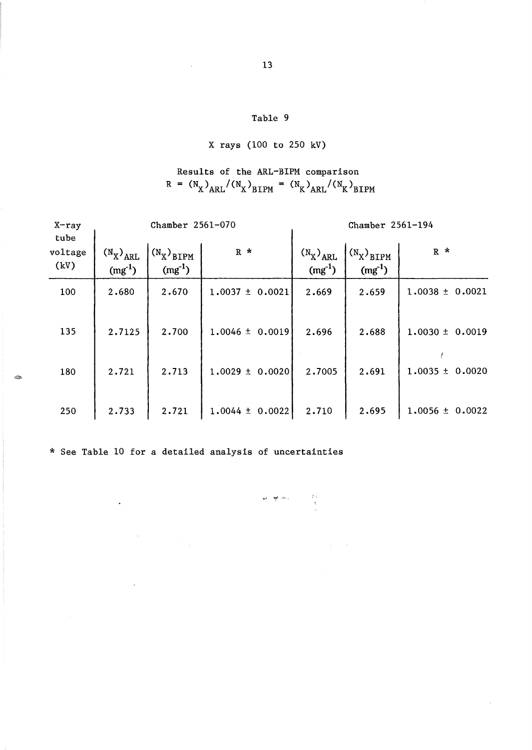## X rays (100 to 250 kV)

Results of the ARL-BIPM comparison  $R = (N_X)_{ARL}/(N_X)_{BIPM} = (N_K)_{ARL}/(N_K)_{BIPM}$ 

| $X$ -ray<br>tube |                              | Chamber 2561-070                     |                        | Chamber 2561-194             |                                   |                     |  |
|------------------|------------------------------|--------------------------------------|------------------------|------------------------------|-----------------------------------|---------------------|--|
| voltage<br>(kV)  | $(N_X)_{ARL}$<br>$(mg^{-1})$ | $(N_X)_{\text{BIPM}}$<br>$(mg^{-1})$ | $R$ *                  | $(N_X)_{ARL}$<br>$(mg^{-1})$ | $(N_X)_{\rm BIPM}$<br>$(mg^{-1})$ | $R$ *               |  |
| 100              | 2.680                        | 2.670                                | $1.0037 \pm 0.0021$    | 2.669                        | 2.659                             | $1.0038 \pm 0.0021$ |  |
| 135              | 2.7125                       | 2.700                                | $1.0046 \pm 0.0019$    | 2.696                        | 2.688                             | $1.0030 \pm 0.0019$ |  |
| 180              | 2.721                        | 2.713                                | $1.0029 \pm$<br>0.0020 | 2.7005                       | 2.691                             | $1.0035 \pm 0.0020$ |  |
| 250              | 2.733                        | 2.721                                | $1.0044 \pm 0.0022$    | 2.710                        | 2.695                             | $1.0056 \pm 0.0022$ |  |

\* See Table 10 for a detailed analysis of uncertainties

 $\ddot{\phantom{0}}$ 

 $\overline{\phantom{a}}$ 

 $\label{eq:2.1} \frac{d\mathbf{r}}{dt} = \frac{1}{2} \left[ \frac{d\mathbf{r}}{dt} - \frac{d\mathbf{r}}{dt} \right] \mathbf{r}$ 

~, *"!,I'* ,-•.

 $\mathcal{A}$ 

 $\mathcal{L}_\mathcal{D}$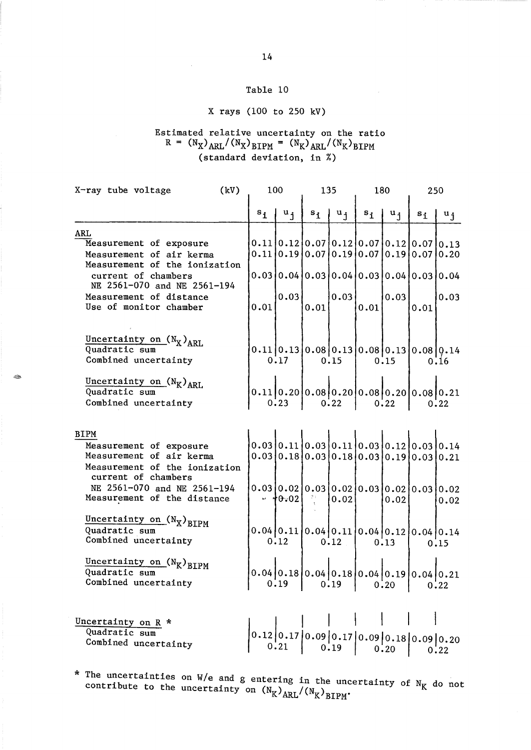# X rays (100 to 250 kV)

## Estimated relative uncertainty on the ratio  $R = (N_X)_{ARL}/(N_X)_{BIPM} = (N_K)_{ARL}/(N_K)_{BIPM}$ (standard deviation, in %)

| (kV)<br>X-ray tube voltage                                                                                                 |  | 100     |                     |      | 135                                         |                                      | 180                       |                                                                                        | 250   |  |
|----------------------------------------------------------------------------------------------------------------------------|--|---------|---------------------|------|---------------------------------------------|--------------------------------------|---------------------------|----------------------------------------------------------------------------------------|-------|--|
|                                                                                                                            |  | $s_{i}$ | $ u_i $             |      | $s_i \mid u_j$                              | $s_{\textbf{i}}$                     | $\mathbf{u}_{\mathbf{i}}$ | $s_i$                                                                                  | $u_i$ |  |
| <b>ARL</b><br>Measurement of exposure<br>Measurement of air kerma<br>Measurement of the ionization                         |  |         |                     |      |                                             |                                      |                           | $0.11 0.12 0.07 0.12 0.07 0.12 0.07 0.13$<br>0.11 0.19 0.07 0.19 0.07 0.19 0.07        | 0.20  |  |
| current of chambers<br>NE 2561-070 and NE 2561-194<br>Measurement of distance<br>Use of monitor chamber                    |  | 0.01    | 0.03                | 0.01 | 0.03                                        | 0.01                                 | 0.03                      | $0.03 0.04 0.03 0.04 0.03 0.04 0.03 0.04$<br>0.01                                      | 0.03  |  |
| Uncertainty on $(N_X)_{ARL}$<br>Quadratic sum<br>Combined uncertainty                                                      |  |         | 0.17                |      | 0.15                                        |                                      | 0.15                      | $0.11[0.13[0.08[0.13[0.08[0.13[0.08[0.14$                                              | 0.16  |  |
| Uncertainty on $(N_K)_{ARL}$<br>Quadratic sum<br>Combined uncertainty                                                      |  |         | 0:23                | 0.22 |                                             | $\begin{vmatrix} 0.22 \end{vmatrix}$ |                           | $0.11 0.20 0.08 0.20 0.08 0.20 0.08 0.21$                                              | 0.22  |  |
| <b>BIPM</b><br>Measurement of exposure<br>Measurement of air kerma<br>Measurement of the ionization<br>current of chambers |  |         |                     |      |                                             |                                      |                           | $0.03 0.11 0.03 0.11 0.03 0.12 0.03 0.14$<br>$0.03 0.18 0.03 0.18 0.03 0.19 0.03 0.21$ |       |  |
| NE 2561-070 and NE 2561-194<br>Measurement of the distance                                                                 |  |         | $\frac{1}{2}$ +0.02 | -29  | 0.02                                        |                                      | 0.02                      |                                                                                        | 0.02  |  |
| Uncertainty on $(N_X)_{BIPM}$<br>Quadratic sum<br>Combined uncertainty                                                     |  |         | 0.12                |      | 0.12                                        |                                      | 0.13                      | $0.04[0.11[0.04[0.11]0.04[0.12]0.04]0.14$                                              | 0.15  |  |
| Uncertainty on $(N_K)_{BIPM}$<br>Quadratic sum<br>Combined uncertainty                                                     |  |         | 0.19                |      | $\begin{vmatrix} 0.19 & 0.20 \end{vmatrix}$ |                                      |                           | $0.04 0.18 0.04 0.18 0.04 0.19 0.04 0.21$                                              | 0.22  |  |
| Uncertainty on R <sup>*</sup><br>Quadratic sum<br>Combined uncertainty                                                     |  |         | 0.21                |      | 0.19                                        |                                      | 0.20                      | $[0.12] 0.17] 0.09  0.17  0.09  0.18  0.09  0.20$                                      | 0.22  |  |

\* The uncertainties on W/e and g entering in the uncertainty of  $N_K$  do not contribute to the uncertainty on  $(N_K)_{\text{ARL}}/(N_K)_{\text{BIPM}}$ .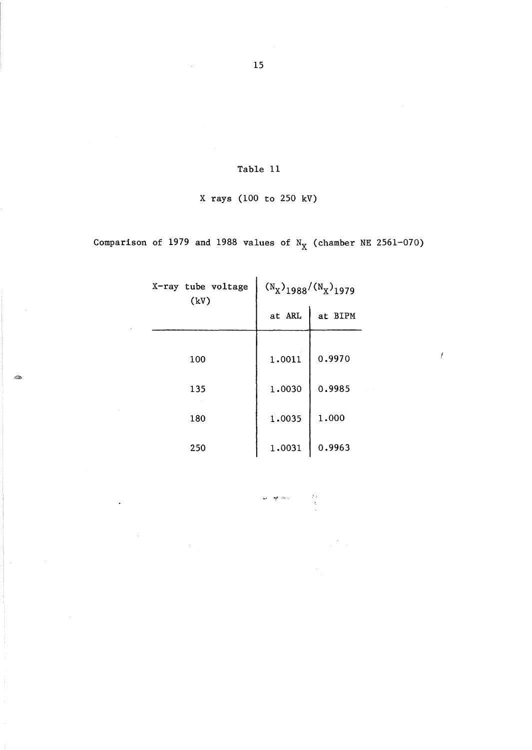## X rays (100 to 250 kV)

Comparison of 1979 and 1988 values of  $N_X$  (chamber NE 2561-070)

| X-ray tube voltage<br>(kV) | $(N_X)$ <sub>1988</sub> / $(N_X)$ <sub>1979</sub> |         |  |  |  |
|----------------------------|---------------------------------------------------|---------|--|--|--|
|                            | at ARL                                            | at BIPM |  |  |  |
|                            |                                                   |         |  |  |  |
| 100                        | 1.0011                                            | 0.9970  |  |  |  |
| 135                        | 1.0030                                            | 0.9985  |  |  |  |
| 180                        | 1.0035                                            | 1.000   |  |  |  |
| 250                        | 1.0031                                            | 0.9963  |  |  |  |

क्षेत्र के साथ अपने अप<br>उ

40

 $\boldsymbol{f}$ 

15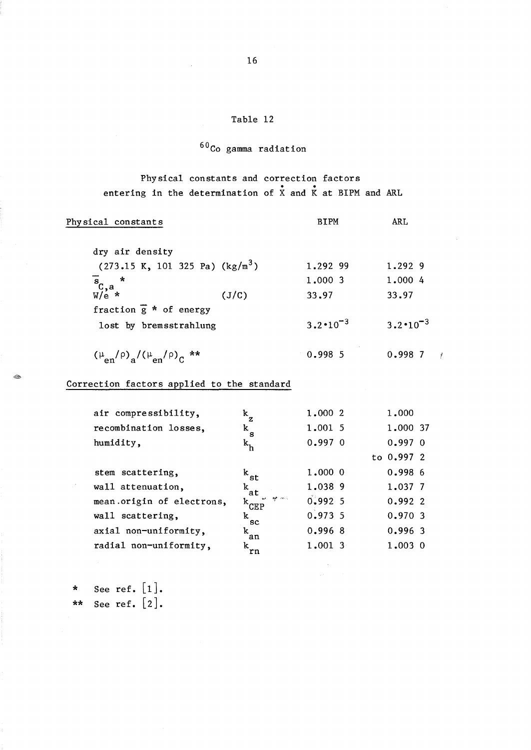# $60C$ o gamma radiation

Physical constants and correction factors . . entering in the determination of X and K at BIPM and ARL

| Physical constants                                                |       | <b>BIPM</b>         | <b>ARL</b>          |
|-------------------------------------------------------------------|-------|---------------------|---------------------|
| dry air density                                                   |       |                     |                     |
| $(273.15 \text{ K}, 101 \text{ 325 Pa}) (\text{kg/m}^3)$          |       | 1.292 99            | 1.292 9             |
| $\frac{1}{\sqrt[3]{c}}$ , a $\frac{*}{\sqrt[3]{c}}$               |       | 1,000 3             | 1.000 4             |
|                                                                   | (J/C) | 33.97               | 33.97               |
| fraction $\overline{g}$ * of energy                               |       |                     |                     |
| lost by bremsstrahlung                                            |       | $3.2 \cdot 10^{-3}$ | $3.2 \cdot 10^{-3}$ |
| $(\mu_{en}/\rho)$ <sub>a</sub> $/(\mu_{en}/\rho)$ <sub>C</sub> ** |       | 0.9985              | $0.998$ 7           |

## Correction factors applied to the standard

| air compressibility,      | $k_{\rm z}$                                           | 1,000 2   | 1,000      |
|---------------------------|-------------------------------------------------------|-----------|------------|
| recombination losses,     | $\rm k$ $\rm _s$                                      | 1.001 5   | 1.000 37   |
| humidity,                 | $k_h$                                                 | $0.997$ 0 | $0.997$ 0  |
|                           |                                                       |           | to 0.997 2 |
| stem scattering.          | $^{\rm k}$ st                                         | $1,000$ 0 | 0.9986     |
| wall attenuation,         | $k_{at}$                                              | 1.038 9   | 1.037 7    |
| mean origin of electrons, | <b>AP</b> Price<br>$\mathbf{r}$<br>$\mathrm{k_{CEP}}$ | $0.992$ 5 | 0.9922     |
| wall scattering,          | k.<br><b>SC</b>                                       | 0.9735    | 0.970.3    |
| axial non-uniformity,     | k<br>'an                                              | $0.996$ 8 | $0.996$ 3  |
| radial non-uniformity,    | $k_{rn}$                                              | $1,001$ 3 | 1,003 0    |

\* See ref.  $[1]$ . \*\* See ref.  $[2]$ .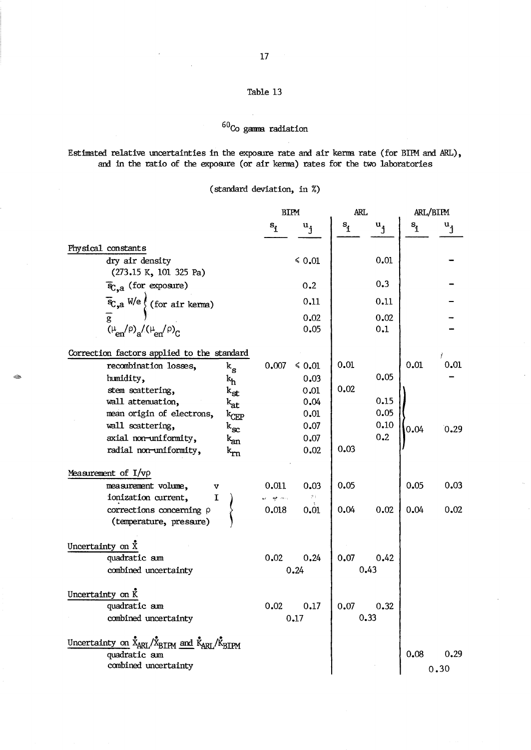# $^{60}\mathrm{Co}$  gamma radiation

## Estimated relative uncertainties in the exposure rate and air kerma rate (for BIPM and ARL), and in the ratio of the exposure (or air kenma) rates for the two laboratories

(standard deviation, in %)

|                                                                                                                                                   | <b>BIPM</b>                               | <b>ARL</b>                                    | ARL/BIPM                                    |      |
|---------------------------------------------------------------------------------------------------------------------------------------------------|-------------------------------------------|-----------------------------------------------|---------------------------------------------|------|
|                                                                                                                                                   | $S_1$<br>$\mathbf{u}_{\mathbf{j}}$        | $s$ <sup>1</sup><br>$\mathbf{u}_{\mathbf{j}}$ | $\mathbf{s}_1$<br>$\mathbf{u}_{\mathbf{j}}$ |      |
| Physical constants                                                                                                                                |                                           |                                               |                                             |      |
| dry air density<br>(273.15 K, 101 325 Pa)                                                                                                         | $\leq 0.01$                               | 0.01                                          |                                             |      |
| $\overline{\mathbf{F}}_{\text{C},a}$ (for exposure)                                                                                               | 0.2                                       | 0.3                                           |                                             |      |
|                                                                                                                                                   | 0.11                                      | 0.11                                          |                                             |      |
|                                                                                                                                                   | 0.02                                      | 0.02                                          |                                             |      |
| $\overline{\mathcal{L}}_{\mathcal{C},a}$ W/e (for air kerma)<br>$\overline{g}$ ( $\mu_{en}/\rho$ ) <sub>a</sub> /( $\mu_{en}/\rho$ ) <sub>C</sub> | 0.05                                      | 0.1                                           |                                             |      |
| Correction factors applied to the standard                                                                                                        |                                           |                                               |                                             |      |
| recombination losses,<br>$\rm{k}_{_{\rm S}}$                                                                                                      | 0.007<br>$\leq 0.01$                      | 0.01                                          | 0.01                                        | 0.01 |
| 20<br>humidity,<br>$k_h$                                                                                                                          | 0.03                                      | 0.05                                          |                                             |      |
| stem scattering,<br>$\rm{k}_{st}$                                                                                                                 | 0.01                                      | 0.02                                          |                                             |      |
| wall attenuation,<br>k <sub>at</sub>                                                                                                              | 0.04                                      | 0.15<br>0.05                                  |                                             |      |
| mean origin of electrons,<br>$\mathrm{k_{CEP}}$                                                                                                   | 0.01                                      | 0.10                                          |                                             |      |
| wall scattering,<br>$\rm{k_{\rm sc}}$                                                                                                             | 0.07                                      | 0.2                                           | 0.04                                        | 0.29 |
| axial non-uniformity,<br>$k_{an}$                                                                                                                 | 0.07                                      | 0.03                                          |                                             |      |
| radial non-uniformity,<br>$\rm{k_{rn}}$                                                                                                           | 0.02                                      |                                               |                                             |      |
| Measurement of $I/\nu\rho$                                                                                                                        |                                           |                                               |                                             |      |
| measurement volume,<br>v                                                                                                                          | 0.011<br>0.03                             | 0.05                                          | 0.05                                        | 0.03 |
| ionization current,<br>I                                                                                                                          | $\mathcal{G}(\cdot)$<br>w <del>y</del> ms |                                               |                                             |      |
| corrections concerning $\rho$<br>(temperature, pressure)                                                                                          | 0.018<br>0.01                             | 0.04<br>0.02                                  | 0.04                                        | 0.02 |
| Uncertainty on $\bar{X}$                                                                                                                          |                                           |                                               |                                             |      |
| quadratic sum                                                                                                                                     | 0.02<br>0.24                              | 0.07<br>0.42                                  |                                             |      |
| combined uncertainty                                                                                                                              | 0.24                                      | 0.43                                          |                                             |      |
| Uncertainty on K                                                                                                                                  |                                           |                                               |                                             |      |
| quadratic sum                                                                                                                                     | 0.17<br>0.02                              | 0.07<br>0.32                                  |                                             |      |
| combined uncertainty                                                                                                                              | 0.17                                      | 0.33                                          |                                             |      |
| Uncertainty on X <sub>ARL</sub> /X <sub>BIPM</sub> and K <sub>ARL</sub> /K <sub>BIPM</sub>                                                        |                                           |                                               |                                             |      |
| quadratic sum                                                                                                                                     |                                           |                                               | 0.08                                        | 0.29 |
| combined uncertainty                                                                                                                              |                                           |                                               | 0.30                                        |      |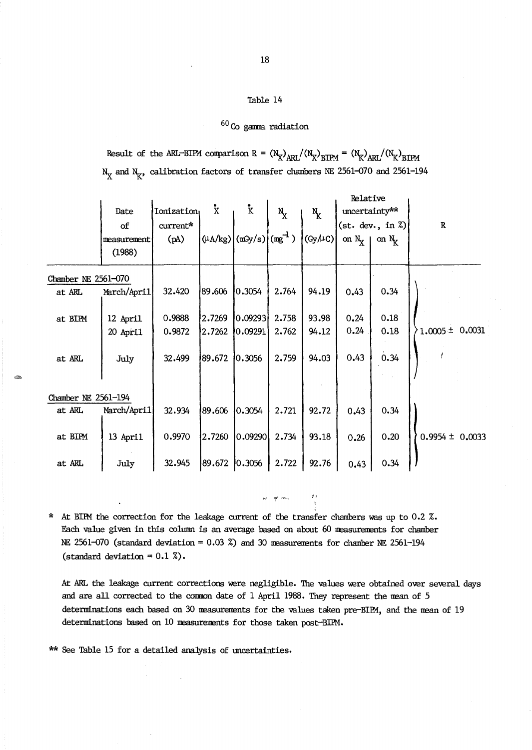# $^{60}\mathrm{Co}$  gamma radiation

Result of the ARL-BIPM comparison R =  $(N_X)_{ARL}/(N_X)_{BIPM} = (N_K)_{ARL}/(N_K)_{BIPM}$  $N_X$  and  $N_K$ , calibration factors of transfer chambers NE 2561-070 and 2561-194

|                     |             |                   |                     |                                    |             |         | Relative      |                              |                     |
|---------------------|-------------|-------------------|---------------------|------------------------------------|-------------|---------|---------------|------------------------------|---------------------|
|                     | Date        | <b>Ionization</b> | $\mathbf{\ddot{x}}$ | $\mathbf{k}$                       | $N_{\rm X}$ | $N_{K}$ | uncertainty** |                              |                     |
|                     | of          | current*          |                     |                                    |             |         |               | (st. dev., in $\mathbb{Z}$ ) | ${\bf R}$           |
|                     | measurement | (pA)              |                     | $(\mu$ A/kg) $(mSy/s)$ $(mg^{-1})$ |             | (Gy/AC) | on $N_X$      | on $N_{\rm g}$               |                     |
|                     | (1988)      |                   |                     |                                    |             |         |               |                              |                     |
| Chamber NE 2561-070 |             |                   |                     |                                    |             |         |               |                              |                     |
| at ARL              | March/April | 32.420            | 89.606              | 0.3054                             | 2.764       | 94.19   | 0.43          | 0.34                         |                     |
|                     |             |                   |                     |                                    |             |         |               | 0.18                         |                     |
| at BIPM             | 12 April    | 0.9888            | 2.7269              | 0.09293                            | 2.758       | 93.98   | 0.24          |                              |                     |
|                     | 20 April    | 0.9872            | 2.7262              | $ 0.09291\rangle$                  | 2.762       | 94.12   | 0.24          | 0.18                         | $1.0005 \pm 0.0031$ |
| at ARL              | July        | 32.499            | 89.672              | 0.3056                             | 2.759       | 94.03   | 0.43          | 0.34                         |                     |
|                     |             |                   |                     |                                    |             |         |               |                              |                     |
|                     |             |                   |                     |                                    |             |         |               |                              |                     |
| Chamber NE 2561-194 |             |                   |                     |                                    |             |         |               |                              |                     |
| at ARL              | March/April | 32.934            | 89.606              | 0.3054                             | 2.721       | 92.72   | 0.43          | 0.34                         |                     |
|                     |             |                   |                     |                                    |             |         |               |                              |                     |
| at BIPM             | 13 April    | 0.9970            | 2.7260              | 0.09290                            | 2.734       | 93.18   | 0.26          | 0.20                         | $0.9954 \pm 0.0033$ |
|                     |             |                   |                     |                                    |             |         |               |                              |                     |
| at ARL              | July        | 32.945            | 89.672              | 0.3056                             | 2.722       | 92.76   | 0.43          | 0.34                         |                     |

\* At BIPM the correction for the leakage current of the transfer chambers was up to  $0.2$  %. Each value given in this column is an average based on about 60 measurements for chamber NE 2561-070 (standard deviation =  $0.03$  %) and 30 measurements for chamber NE 2561-194 (standard deviation =  $0.1\%$ ).

At ARL the leakage current corrections were negligible. The values were obtained over several days and are all corrected to the common date of 1 April 1988. They represent the mean of 5 determinations each based on 30 measurements for the values taken pre-BIPM, and the mean of 19 determinations based on 10 measurements for those taken post-BIPM.

~I **'),.** ,-\_.,

\*\* See Table 15 for a detailed analysis of uncertainties.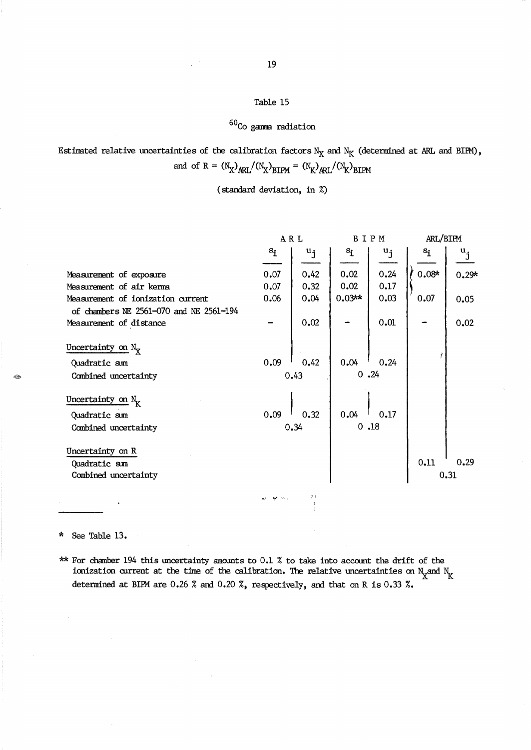# $60<sub>CO</sub>$  gamma radiation

|                                         | ARL   |                  | BIPM           |         | ARL/BIPM |                           |
|-----------------------------------------|-------|------------------|----------------|---------|----------|---------------------------|
|                                         | $s_i$ | $u_{\mathbf{j}}$ | $\mathbf{s}_1$ | $u_{j}$ | $s_i$    | $\mathbf{u}_{\mathbf{j}}$ |
|                                         |       |                  |                |         |          |                           |
| Measurement of exposure                 | 0.07  | 0.42             | 0.02           | 0.24    | $0.08*$  | $0.29*$                   |
| Measurement of air kerma                | 0.07  | 0.32             | 0.02           | 0.17    |          |                           |
| Measurement of ionization current       | 0.06  | 0.04             | $0.03**$       | 0.03    | 0.07     | 0.05                      |
| of chambers NE 2561-070 and NE 2561-194 |       |                  |                |         |          |                           |
| Measurement of distance                 |       | 0.02             |                | 0.01    |          | 0.02                      |
|                                         |       |                  |                |         |          |                           |
| Uncertainty on $N_{\rm y}$              |       |                  |                |         |          |                           |
| Quadratic sum                           | 0.09  | 0.42             | 0.04           | 0.24    |          |                           |
|                                         |       |                  |                | 0.24    |          |                           |
| Combined uncertainty                    |       | 0.43             |                |         |          |                           |
|                                         |       |                  |                |         |          |                           |
| Uncertainty on $N_K$                    |       |                  |                |         |          |                           |
| Quadratic sum                           | 0.09  | 0.32             | 0.04           | 0.17    |          |                           |
| Combined uncertainty                    |       | 0.34             |                | 0.18    |          |                           |
|                                         |       |                  |                |         |          |                           |
| Uncertainty on R                        |       |                  |                |         |          |                           |
| Quadratic sum                           |       |                  |                |         | 0.11     | 0.29                      |
| Combined uncertainty                    |       |                  |                |         |          | 0.31                      |
|                                         |       |                  |                |         |          |                           |

Estimated relative uncertainties of the calibration factors  $N_X$  and  $N_K$  (determined at ARL and BIPM), and of R =  $(N_X)_{ARL}/(N_X)_{BIPM} = (N_K)_{ARL}/(N_K)_{BIPM}$ 

(standard deviation, in %)

\* See Table 13.

 $^{\circledR}$ 

\*\* For chamber 194 this uncertainty amoonts to 0.1 % to take into accoont the drift of the ionization current at the time of the calibration. The relative uncertainties on  $N_{\rm X}$  and  $N_{\rm K}$ determined at BUM are 0.26 % and 0.20 %, respectively, and that on R is 0.33 %.

 $\omega$  . At  $\omega_{\infty}$   $\omega_{\infty}$   $\omega_{\infty}$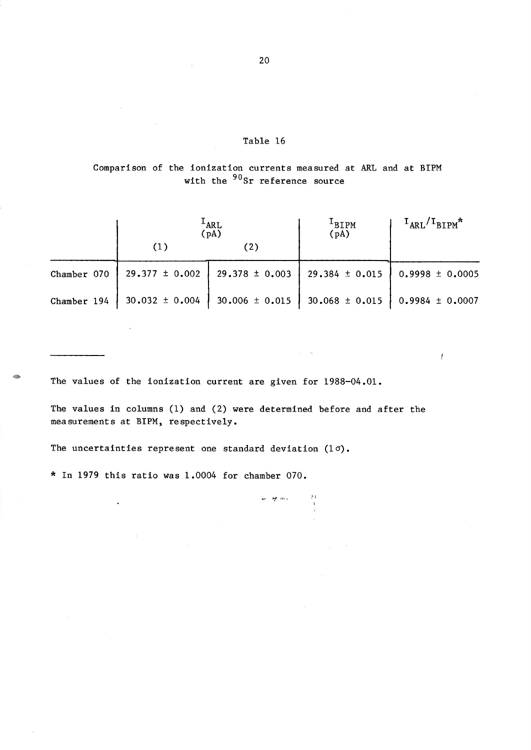Comparison of the ionization currents measured at ARL and at BIPM with the <sup>90</sup>Sr reference source

|             |                                                                                  | <sup>L</sup> ARL<br>(pA) | <sup>1</sup> BIPM<br>(pA)                                                          | $I_{\text{ARL}}/I_{\text{BIPM}}$ * |  |  |
|-------------|----------------------------------------------------------------------------------|--------------------------|------------------------------------------------------------------------------------|------------------------------------|--|--|
|             | (1)                                                                              | (2)                      |                                                                                    |                                    |  |  |
| Chamber 070 |                                                                                  |                          | $29.377 \pm 0.002$   29.378 $\pm$ 0.003   29.384 $\pm$ 0.015   0.9998 $\pm$ 0.0005 |                                    |  |  |
|             | Chamber 194   30.032 ± 0.004   30.006 ± 0.015   30.068 ± 0.015   0.9984 ± 0.0007 |                          |                                                                                    |                                    |  |  |

 $\mathfrak{f}$ 

The values of the ionization current are given for 1988-04.01.

The values in columns (1) and (2) were determined before and after the measurements at BIPM, respectively.

 $\begin{array}{c} 2\lambda \\ -3\lambda \\ 3\lambda \end{array}$ 

ez aprimas

The uncertainties represent one standard deviation  $(1 \sigma)$ .

\* In 1979 this ratio was 1.0004 for chamber 070.

 $\ddot{\phantom{0}}$ 

20